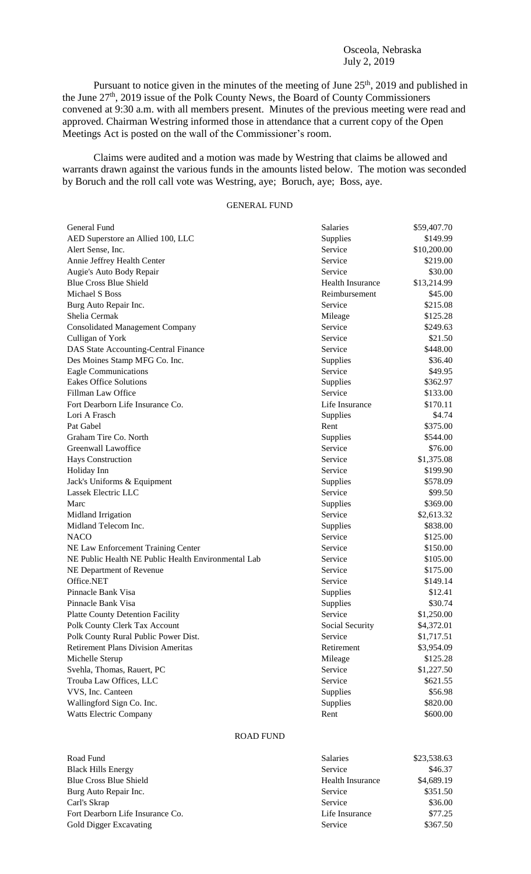## Osceola, Nebraska July 2, 2019

Pursuant to notice given in the minutes of the meeting of June  $25<sup>th</sup>$ , 2019 and published in the June 27<sup>th</sup>, 2019 issue of the Polk County News, the Board of County Commissioners convened at 9:30 a.m. with all members present. Minutes of the previous meeting were read and approved. Chairman Westring informed those in attendance that a current copy of the Open Meetings Act is posted on the wall of the Commissioner's room.

Claims were audited and a motion was made by Westring that claims be allowed and warrants drawn against the various funds in the amounts listed below. The motion was seconded by Boruch and the roll call vote was Westring, aye; Boruch, aye; Boss, aye.

## GENERAL FUND

| General Fund                                        | Salaries         | \$59,407.70 |
|-----------------------------------------------------|------------------|-------------|
| AED Superstore an Allied 100, LLC                   | Supplies         | \$149.99    |
| Alert Sense, Inc.                                   | Service          | \$10,200.00 |
| Annie Jeffrey Health Center                         | Service          | \$219.00    |
| Augie's Auto Body Repair                            | Service          | \$30.00     |
| <b>Blue Cross Blue Shield</b>                       | Health Insurance | \$13,214.99 |
| Michael S Boss                                      | Reimbursement    | \$45.00     |
| Burg Auto Repair Inc.                               | Service          | \$215.08    |
| Shelia Cermak                                       | Mileage          | \$125.28    |
| <b>Consolidated Management Company</b>              | Service          | \$249.63    |
| Culligan of York                                    | Service          | \$21.50     |
| DAS State Accounting-Central Finance                | Service          | \$448.00    |
| Des Moines Stamp MFG Co. Inc.                       | Supplies         | \$36.40     |
| Eagle Communications                                | Service          | \$49.95     |
| <b>Eakes Office Solutions</b>                       | Supplies         | \$362.97    |
| Fillman Law Office                                  | Service          | \$133.00    |
| Fort Dearborn Life Insurance Co.                    | Life Insurance   | \$170.11    |
| Lori A Frasch                                       | Supplies         | \$4.74      |
| Pat Gabel                                           | Rent             | \$375.00    |
| Graham Tire Co. North                               | Supplies         | \$544.00    |
| Greenwall Lawoffice                                 | Service          | \$76.00     |
| Hays Construction                                   | Service          | \$1,375.08  |
| Holiday Inn                                         | Service          | \$199.90    |
| Jack's Uniforms & Equipment                         | Supplies         | \$578.09    |
| Lassek Electric LLC                                 | Service          | \$99.50     |
| Marc                                                | Supplies         | \$369.00    |
| Midland Irrigation                                  | Service          | \$2,613.32  |
| Midland Telecom Inc.                                | Supplies         | \$838.00    |
| <b>NACO</b>                                         | Service          | \$125.00    |
| NE Law Enforcement Training Center                  | Service          | \$150.00    |
| NE Public Health NE Public Health Environmental Lab | Service          | \$105.00    |
| NE Department of Revenue                            | Service          | \$175.00    |
| Office.NET                                          | Service          | \$149.14    |
| Pinnacle Bank Visa                                  | Supplies         | \$12.41     |
| Pinnacle Bank Visa                                  | Supplies         | \$30.74     |
| <b>Platte County Detention Facility</b>             | Service          | \$1,250.00  |
| Polk County Clerk Tax Account                       | Social Security  | \$4,372.01  |
| Polk County Rural Public Power Dist.                | Service          | \$1,717.51  |
| <b>Retirement Plans Division Ameritas</b>           | Retirement       | \$3,954.09  |
| Michelle Sterup                                     | Mileage          | \$125.28    |
| Svehla, Thomas, Rauert, PC                          | Service          | \$1,227.50  |
| Trouba Law Offices, LLC                             | Service          | \$621.55    |
| VVS, Inc. Canteen                                   | Supplies         | \$56.98     |
| Wallingford Sign Co. Inc.                           | Supplies         | \$820.00    |
| <b>Watts Electric Company</b>                       | Rent             | \$600.00    |

## ROAD FUND

| Road Fund                        |   |
|----------------------------------|---|
| <b>Black Hills Energy</b>        | S |
| <b>Blue Cross Blue Shield</b>    | F |
| Burg Auto Repair Inc.            | S |
| Carl's Skrap                     | S |
| Fort Dearborn Life Insurance Co. |   |
| Gold Digger Excavating           | S |
|                                  |   |

| Road Fund                        | <b>Salaries</b>         | \$23,538.63 |
|----------------------------------|-------------------------|-------------|
| <b>Black Hills Energy</b>        | Service                 | \$46.37     |
| Blue Cross Blue Shield           | <b>Health Insurance</b> | \$4,689.19  |
| Burg Auto Repair Inc.            | Service                 | \$351.50    |
| Carl's Skrap                     | Service                 | \$36.00     |
| Fort Dearborn Life Insurance Co. | Life Insurance          | \$77.25     |
| Gold Digger Excavating           | Service                 | \$367.50    |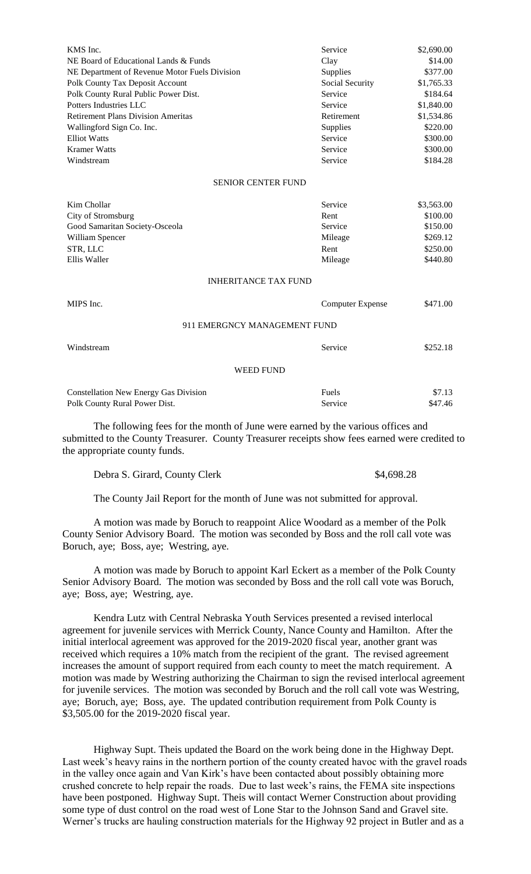| KMS Inc.                                      | Service                 | \$2,690.00 |
|-----------------------------------------------|-------------------------|------------|
| NE Board of Educational Lands & Funds         | Clay                    | \$14.00    |
| NE Department of Revenue Motor Fuels Division | Supplies                | \$377.00   |
| Polk County Tax Deposit Account               | Social Security         | \$1,765.33 |
| Polk County Rural Public Power Dist.          | Service                 | \$184.64   |
| Potters Industries LLC                        | Service                 | \$1,840.00 |
| <b>Retirement Plans Division Ameritas</b>     | Retirement              | \$1,534.86 |
| Wallingford Sign Co. Inc.                     | Supplies                | \$220.00   |
| <b>Elliot Watts</b>                           | Service                 | \$300.00   |
| <b>Kramer Watts</b>                           | Service                 | \$300.00   |
| Windstream                                    | Service                 | \$184.28   |
| <b>SENIOR CENTER FUND</b>                     |                         |            |
| Kim Chollar                                   | Service                 | \$3,563.00 |
| City of Stromsburg                            | Rent                    | \$100.00   |
| Good Samaritan Society-Osceola                | Service                 | \$150.00   |
| William Spencer                               | Mileage                 | \$269.12   |
| STR, LLC                                      | Rent                    | \$250.00   |
| Ellis Waller                                  | Mileage                 | \$440.80   |
| <b>INHERITANCE TAX FUND</b>                   |                         |            |
| MIPS Inc.                                     | <b>Computer Expense</b> | \$471.00   |
| 911 EMERGNCY MANAGEMENT FUND                  |                         |            |
| Windstream                                    | Service                 | \$252.18   |
| <b>WEED FUND</b>                              |                         |            |
| <b>Constellation New Energy Gas Division</b>  | Fuels                   | \$7.13     |
| Polk County Rural Power Dist.                 | Service                 | \$47.46    |

The following fees for the month of June were earned by the various offices and submitted to the County Treasurer. County Treasurer receipts show fees earned were credited to the appropriate county funds.

Debra S. Girard, County Clerk  $$4,698.28$ 

The County Jail Report for the month of June was not submitted for approval.

A motion was made by Boruch to reappoint Alice Woodard as a member of the Polk County Senior Advisory Board. The motion was seconded by Boss and the roll call vote was Boruch, aye; Boss, aye; Westring, aye.

A motion was made by Boruch to appoint Karl Eckert as a member of the Polk County Senior Advisory Board. The motion was seconded by Boss and the roll call vote was Boruch, aye; Boss, aye; Westring, aye.

Kendra Lutz with Central Nebraska Youth Services presented a revised interlocal agreement for juvenile services with Merrick County, Nance County and Hamilton. After the initial interlocal agreement was approved for the 2019-2020 fiscal year, another grant was received which requires a 10% match from the recipient of the grant. The revised agreement increases the amount of support required from each county to meet the match requirement. A motion was made by Westring authorizing the Chairman to sign the revised interlocal agreement for juvenile services. The motion was seconded by Boruch and the roll call vote was Westring, aye; Boruch, aye; Boss, aye. The updated contribution requirement from Polk County is \$3,505.00 for the 2019-2020 fiscal year.

Highway Supt. Theis updated the Board on the work being done in the Highway Dept. Last week's heavy rains in the northern portion of the county created havoc with the gravel roads in the valley once again and Van Kirk's have been contacted about possibly obtaining more crushed concrete to help repair the roads. Due to last week's rains, the FEMA site inspections have been postponed. Highway Supt. Theis will contact Werner Construction about providing some type of dust control on the road west of Lone Star to the Johnson Sand and Gravel site. Werner's trucks are hauling construction materials for the Highway 92 project in Butler and as a